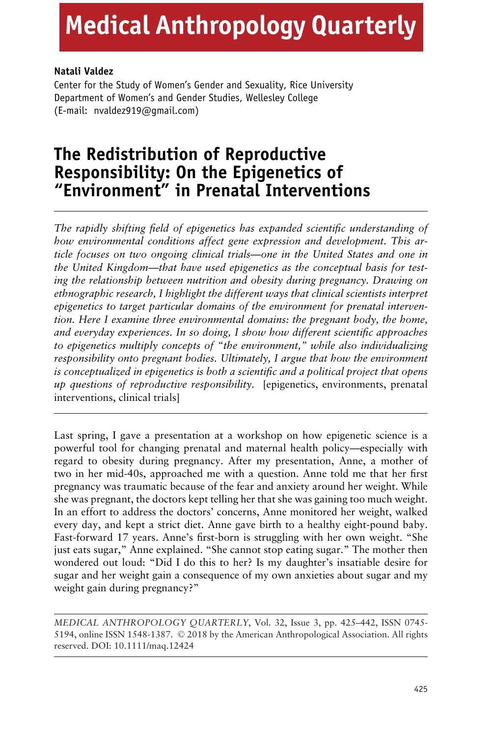# **Medical Anthropology Quarterly**

# **Natali Valdez**

Center for the Study of Women's Gender and Sexuality, Rice University Department of Women's and Gender Studies, Wellesley College (E-mail: nvaldez919@gmail.com)

# **The Redistribution of Reproductive Responsibility: On the Epigenetics of "Environment" in Prenatal Interventions**

*The rapidly shifting field of epigenetics has expanded scientific understanding of how environmental conditions affect gene expression and development. This article focuses on two ongoing clinical trials—one in the United States and one in the United Kingdom—that have used epigenetics as the conceptual basis for testing the relationship between nutrition and obesity during pregnancy. Drawing on ethnographic research, I highlight the different ways that clinical scientists interpret epigenetics to target particular domains of the environment for prenatal intervention. Here I examine three environmental domains: the pregnant body, the home, and everyday experiences. In so doing, I show how different scientific approaches to epigenetics multiply concepts of "the environment," while also individualizing responsibility onto pregnant bodies. Ultimately, I argue that how the environment is conceptualized in epigenetics is both a scientific and a political project that opens up questions of reproductive responsibility.* [epigenetics, environments, prenatal interventions, clinical trials]

Last spring, I gave a presentation at a workshop on how epigenetic science is a powerful tool for changing prenatal and maternal health policy—especially with regard to obesity during pregnancy. After my presentation, Anne, a mother of two in her mid-40s, approached me with a question. Anne told me that her first pregnancy was traumatic because of the fear and anxiety around her weight. While she was pregnant, the doctors kept telling her that she was gaining too much weight. In an effort to address the doctors' concerns, Anne monitored her weight, walked every day, and kept a strict diet. Anne gave birth to a healthy eight-pound baby. Fast-forward 17 years. Anne's first-born is struggling with her own weight. "She just eats sugar," Anne explained. "She cannot stop eating sugar." The mother then wondered out loud: "Did I do this to her? Is my daughter's insatiable desire for sugar and her weight gain a consequence of my own anxieties about sugar and my weight gain during pregnancy?"

*MEDICAL ANTHROPOLOGY QUARTERLY*, Vol. 32, Issue 3, pp. 425–442, ISSN 0745- 5194, online ISSN 1548-1387. © 2018 by the American Anthropological Association. All rights reserved. DOI: 10.1111/maq.12424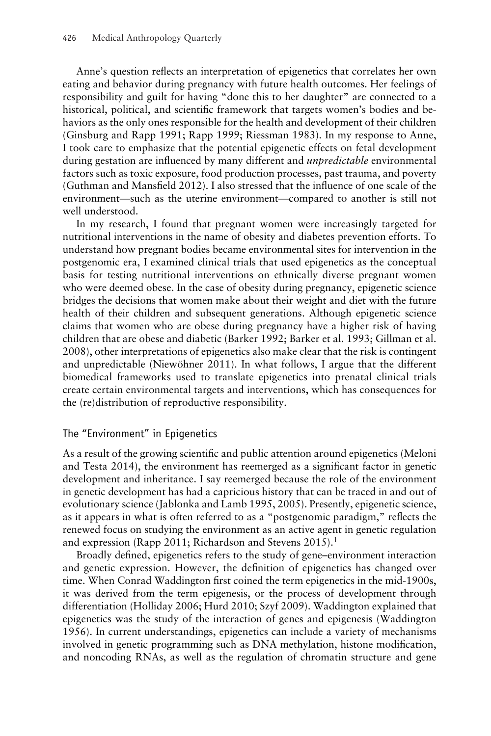Anne's question reflects an interpretation of epigenetics that correlates her own eating and behavior during pregnancy with future health outcomes. Her feelings of responsibility and guilt for having "done this to her daughter" are connected to a historical, political, and scientific framework that targets women's bodies and behaviors as the only ones responsible for the health and development of their children (Ginsburg and Rapp 1991; Rapp 1999; Riessman 1983). In my response to Anne, I took care to emphasize that the potential epigenetic effects on fetal development during gestation are influenced by many different and *unpredictable* environmental factors such as toxic exposure, food production processes, past trauma, and poverty (Guthman and Mansfield 2012). I also stressed that the influence of one scale of the environment—such as the uterine environment—compared to another is still not well understood.

In my research, I found that pregnant women were increasingly targeted for nutritional interventions in the name of obesity and diabetes prevention efforts. To understand how pregnant bodies became environmental sites for intervention in the postgenomic era, I examined clinical trials that used epigenetics as the conceptual basis for testing nutritional interventions on ethnically diverse pregnant women who were deemed obese. In the case of obesity during pregnancy, epigenetic science bridges the decisions that women make about their weight and diet with the future health of their children and subsequent generations. Although epigenetic science claims that women who are obese during pregnancy have a higher risk of having children that are obese and diabetic (Barker 1992; Barker et al. 1993; Gillman et al. 2008), other interpretations of epigenetics also make clear that the risk is contingent and unpredictable (Niewöhner 2011). In what follows, I argue that the different biomedical frameworks used to translate epigenetics into prenatal clinical trials create certain environmental targets and interventions, which has consequences for the (re)distribution of reproductive responsibility.

# The "Environment" in Epigenetics

As a result of the growing scientific and public attention around epigenetics (Meloni and Testa 2014), the environment has reemerged as a significant factor in genetic development and inheritance. I say reemerged because the role of the environment in genetic development has had a capricious history that can be traced in and out of evolutionary science (Jablonka and Lamb 1995, 2005). Presently, epigenetic science, as it appears in what is often referred to as a "postgenomic paradigm," reflects the renewed focus on studying the environment as an active agent in genetic regulation and expression (Rapp 2011; Richardson and Stevens 2015).<sup>1</sup>

Broadly defined, epigenetics refers to the study of gene–environment interaction and genetic expression. However, the definition of epigenetics has changed over time. When Conrad Waddington first coined the term epigenetics in the mid-1900s, it was derived from the term epigenesis, or the process of development through differentiation (Holliday 2006; Hurd 2010; Szyf 2009). Waddington explained that epigenetics was the study of the interaction of genes and epigenesis (Waddington 1956). In current understandings, epigenetics can include a variety of mechanisms involved in genetic programming such as DNA methylation, histone modification, and noncoding RNAs, as well as the regulation of chromatin structure and gene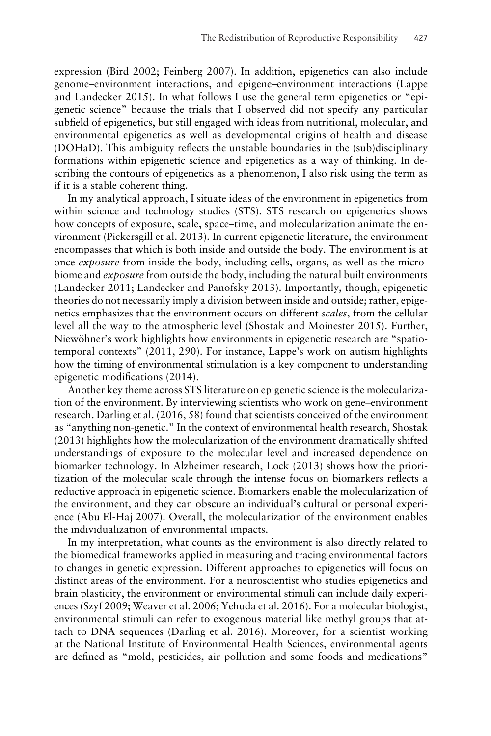expression (Bird 2002; Feinberg 2007). In addition, epigenetics can also include genome–environment interactions, and epigene–environment interactions (Lappe and Landecker 2015). In what follows I use the general term epigenetics or "epigenetic science" because the trials that I observed did not specify any particular subfield of epigenetics, but still engaged with ideas from nutritional, molecular, and environmental epigenetics as well as developmental origins of health and disease (DOHaD). This ambiguity reflects the unstable boundaries in the (sub)disciplinary formations within epigenetic science and epigenetics as a way of thinking. In describing the contours of epigenetics as a phenomenon, I also risk using the term as if it is a stable coherent thing.

In my analytical approach, I situate ideas of the environment in epigenetics from within science and technology studies (STS). STS research on epigenetics shows how concepts of exposure, scale, space–time, and molecularization animate the environment (Pickersgill et al. 2013). In current epigenetic literature, the environment encompasses that which is both inside and outside the body. The environment is at once *exposure* from inside the body, including cells, organs, as well as the microbiome and *exposure* from outside the body, including the natural built environments (Landecker 2011; Landecker and Panofsky 2013). Importantly, though, epigenetic theories do not necessarily imply a division between inside and outside; rather, epigenetics emphasizes that the environment occurs on different *scales*, from the cellular level all the way to the atmospheric level (Shostak and Moinester 2015). Further, Niewöhner's work highlights how environments in epigenetic research are "spatiotemporal contexts" (2011, 290). For instance, Lappe's work on autism highlights how the timing of environmental stimulation is a key component to understanding epigenetic modifications (2014).

Another key theme across STS literature on epigenetic science is the molecularization of the environment. By interviewing scientists who work on gene–environment research. Darling et al. (2016, 58) found that scientists conceived of the environment as "anything non-genetic." In the context of environmental health research, Shostak (2013) highlights how the molecularization of the environment dramatically shifted understandings of exposure to the molecular level and increased dependence on biomarker technology. In Alzheimer research, Lock (2013) shows how the prioritization of the molecular scale through the intense focus on biomarkers reflects a reductive approach in epigenetic science. Biomarkers enable the molecularization of the environment, and they can obscure an individual's cultural or personal experience (Abu El-Haj 2007). Overall, the molecularization of the environment enables the individualization of environmental impacts.

In my interpretation, what counts as the environment is also directly related to the biomedical frameworks applied in measuring and tracing environmental factors to changes in genetic expression. Different approaches to epigenetics will focus on distinct areas of the environment. For a neuroscientist who studies epigenetics and brain plasticity, the environment or environmental stimuli can include daily experiences (Szyf 2009; Weaver et al. 2006; Yehuda et al. 2016). For a molecular biologist, environmental stimuli can refer to exogenous material like methyl groups that attach to DNA sequences (Darling et al. 2016). Moreover, for a scientist working at the National Institute of Environmental Health Sciences, environmental agents are defined as "mold, pesticides, air pollution and some foods and medications"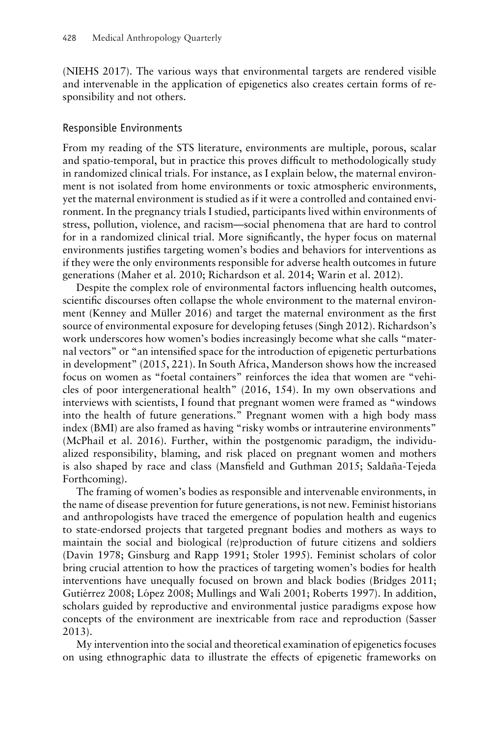(NIEHS 2017). The various ways that environmental targets are rendered visible and intervenable in the application of epigenetics also creates certain forms of responsibility and not others.

# Responsible Environments

From my reading of the STS literature, environments are multiple, porous, scalar and spatio-temporal, but in practice this proves difficult to methodologically study in randomized clinical trials. For instance, as I explain below, the maternal environment is not isolated from home environments or toxic atmospheric environments, yet the maternal environment is studied as if it were a controlled and contained environment. In the pregnancy trials I studied, participants lived within environments of stress, pollution, violence, and racism—social phenomena that are hard to control for in a randomized clinical trial. More significantly, the hyper focus on maternal environments justifies targeting women's bodies and behaviors for interventions as if they were the only environments responsible for adverse health outcomes in future generations (Maher et al. 2010; Richardson et al. 2014; Warin et al. 2012).

Despite the complex role of environmental factors influencing health outcomes, scientific discourses often collapse the whole environment to the maternal environment (Kenney and Müller  $2016$ ) and target the maternal environment as the first source of environmental exposure for developing fetuses (Singh 2012). Richardson's work underscores how women's bodies increasingly become what she calls "maternal vectors" or "an intensified space for the introduction of epigenetic perturbations in development" (2015, 221). In South Africa, Manderson shows how the increased focus on women as "foetal containers" reinforces the idea that women are "vehicles of poor intergenerational health" (2016, 154). In my own observations and interviews with scientists, I found that pregnant women were framed as "windows into the health of future generations." Pregnant women with a high body mass index (BMI) are also framed as having "risky wombs or intrauterine environments" (McPhail et al. 2016). Further, within the postgenomic paradigm, the individualized responsibility, blaming, and risk placed on pregnant women and mothers is also shaped by race and class (Mansfield and Guthman 2015; Saldaña-Tejeda Forthcoming).

The framing of women's bodies as responsible and intervenable environments, in the name of disease prevention for future generations, is not new. Feminist historians and anthropologists have traced the emergence of population health and eugenics to state-endorsed projects that targeted pregnant bodies and mothers as ways to maintain the social and biological (re)production of future citizens and soldiers (Davin 1978; Ginsburg and Rapp 1991; Stoler 1995). Feminist scholars of color bring crucial attention to how the practices of targeting women's bodies for health interventions have unequally focused on brown and black bodies (Bridges 2011; Gutiérrez 2008; López 2008; Mullings and Wali 2001; Roberts 1997). In addition, scholars guided by reproductive and environmental justice paradigms expose how concepts of the environment are inextricable from race and reproduction (Sasser 2013).

My intervention into the social and theoretical examination of epigenetics focuses on using ethnographic data to illustrate the effects of epigenetic frameworks on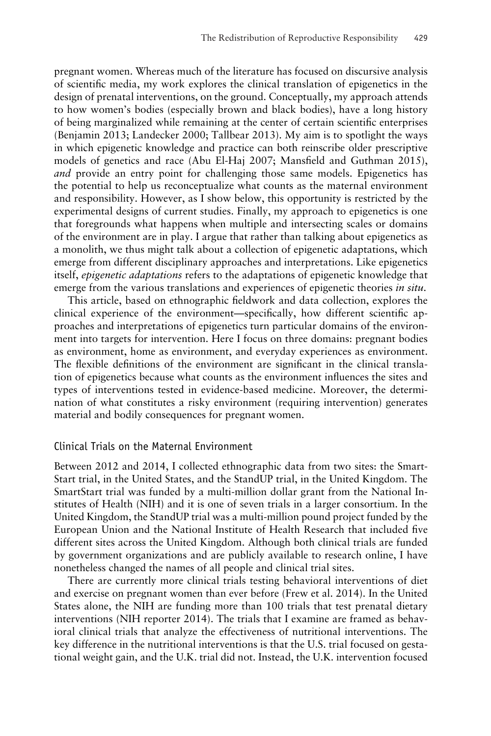pregnant women. Whereas much of the literature has focused on discursive analysis of scientific media, my work explores the clinical translation of epigenetics in the design of prenatal interventions, on the ground. Conceptually, my approach attends to how women's bodies (especially brown and black bodies), have a long history of being marginalized while remaining at the center of certain scientific enterprises (Benjamin 2013; Landecker 2000; Tallbear 2013). My aim is to spotlight the ways in which epigenetic knowledge and practice can both reinscribe older prescriptive models of genetics and race (Abu El-Haj 2007; Mansfield and Guthman 2015), *and* provide an entry point for challenging those same models. Epigenetics has the potential to help us reconceptualize what counts as the maternal environment and responsibility. However, as I show below, this opportunity is restricted by the experimental designs of current studies. Finally, my approach to epigenetics is one that foregrounds what happens when multiple and intersecting scales or domains of the environment are in play. I argue that rather than talking about epigenetics as a monolith, we thus might talk about a collection of epigenetic adaptations, which emerge from different disciplinary approaches and interpretations. Like epigenetics itself, *epigenetic adaptations* refers to the adaptations of epigenetic knowledge that emerge from the various translations and experiences of epigenetic theories *in situ.*

This article, based on ethnographic fieldwork and data collection, explores the clinical experience of the environment—specifically, how different scientific approaches and interpretations of epigenetics turn particular domains of the environment into targets for intervention. Here I focus on three domains: pregnant bodies as environment, home as environment, and everyday experiences as environment. The flexible definitions of the environment are significant in the clinical translation of epigenetics because what counts as the environment influences the sites and types of interventions tested in evidence-based medicine. Moreover, the determination of what constitutes a risky environment (requiring intervention) generates material and bodily consequences for pregnant women.

#### Clinical Trials on the Maternal Environment

Between 2012 and 2014, I collected ethnographic data from two sites: the Smart-Start trial, in the United States, and the StandUP trial, in the United Kingdom. The SmartStart trial was funded by a multi-million dollar grant from the National Institutes of Health (NIH) and it is one of seven trials in a larger consortium. In the United Kingdom, the StandUP trial was a multi-million pound project funded by the European Union and the National Institute of Health Research that included five different sites across the United Kingdom. Although both clinical trials are funded by government organizations and are publicly available to research online, I have nonetheless changed the names of all people and clinical trial sites.

There are currently more clinical trials testing behavioral interventions of diet and exercise on pregnant women than ever before (Frew et al. 2014). In the United States alone, the NIH are funding more than 100 trials that test prenatal dietary interventions (NIH reporter 2014). The trials that I examine are framed as behavioral clinical trials that analyze the effectiveness of nutritional interventions. The key difference in the nutritional interventions is that the U.S. trial focused on gestational weight gain, and the U.K. trial did not. Instead, the U.K. intervention focused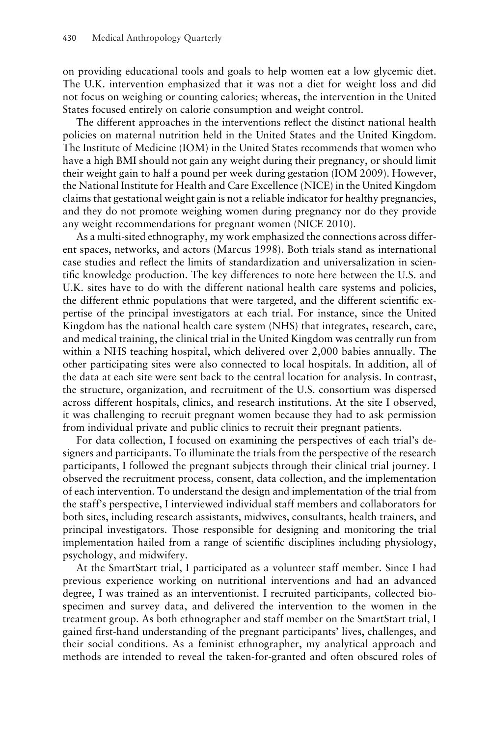on providing educational tools and goals to help women eat a low glycemic diet. The U.K. intervention emphasized that it was not a diet for weight loss and did not focus on weighing or counting calories; whereas, the intervention in the United States focused entirely on calorie consumption and weight control.

The different approaches in the interventions reflect the distinct national health policies on maternal nutrition held in the United States and the United Kingdom. The Institute of Medicine (IOM) in the United States recommends that women who have a high BMI should not gain any weight during their pregnancy, or should limit their weight gain to half a pound per week during gestation (IOM 2009). However, the National Institute for Health and Care Excellence (NICE) in the United Kingdom claims that gestational weight gain is not a reliable indicator for healthy pregnancies, and they do not promote weighing women during pregnancy nor do they provide any weight recommendations for pregnant women (NICE 2010).

As a multi-sited ethnography, my work emphasized the connections across different spaces, networks, and actors (Marcus 1998). Both trials stand as international case studies and reflect the limits of standardization and universalization in scientific knowledge production. The key differences to note here between the U.S. and U.K. sites have to do with the different national health care systems and policies, the different ethnic populations that were targeted, and the different scientific expertise of the principal investigators at each trial. For instance, since the United Kingdom has the national health care system (NHS) that integrates, research, care, and medical training, the clinical trial in the United Kingdom was centrally run from within a NHS teaching hospital, which delivered over 2,000 babies annually. The other participating sites were also connected to local hospitals. In addition, all of the data at each site were sent back to the central location for analysis. In contrast, the structure, organization, and recruitment of the U.S. consortium was dispersed across different hospitals, clinics, and research institutions. At the site I observed, it was challenging to recruit pregnant women because they had to ask permission from individual private and public clinics to recruit their pregnant patients.

For data collection, I focused on examining the perspectives of each trial's designers and participants. To illuminate the trials from the perspective of the research participants, I followed the pregnant subjects through their clinical trial journey. I observed the recruitment process, consent, data collection, and the implementation of each intervention. To understand the design and implementation of the trial from the staff's perspective, I interviewed individual staff members and collaborators for both sites, including research assistants, midwives, consultants, health trainers, and principal investigators. Those responsible for designing and monitoring the trial implementation hailed from a range of scientific disciplines including physiology, psychology, and midwifery.

At the SmartStart trial, I participated as a volunteer staff member. Since I had previous experience working on nutritional interventions and had an advanced degree, I was trained as an interventionist. I recruited participants, collected biospecimen and survey data, and delivered the intervention to the women in the treatment group. As both ethnographer and staff member on the SmartStart trial, I gained first-hand understanding of the pregnant participants' lives, challenges, and their social conditions. As a feminist ethnographer, my analytical approach and methods are intended to reveal the taken-for-granted and often obscured roles of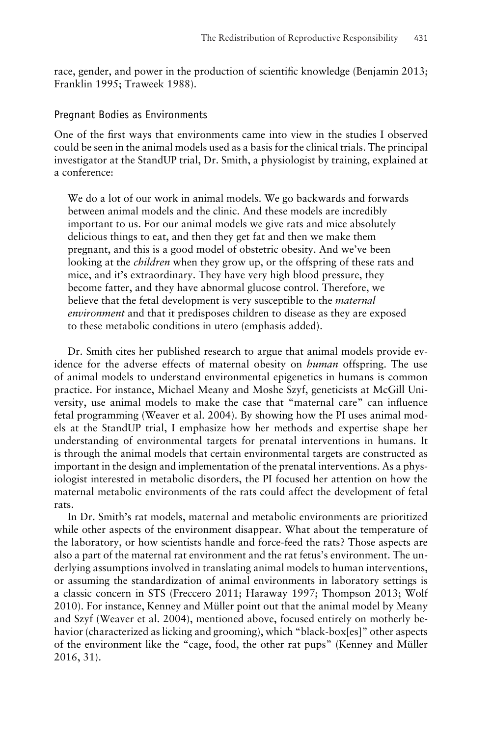race, gender, and power in the production of scientific knowledge (Benjamin 2013; Franklin 1995; Traweek 1988).

### Pregnant Bodies as Environments

One of the first ways that environments came into view in the studies I observed could be seen in the animal models used as a basis for the clinical trials. The principal investigator at the StandUP trial, Dr. Smith, a physiologist by training, explained at a conference:

We do a lot of our work in animal models. We go backwards and forwards between animal models and the clinic. And these models are incredibly important to us. For our animal models we give rats and mice absolutely delicious things to eat, and then they get fat and then we make them pregnant, and this is a good model of obstetric obesity. And we've been looking at the *children* when they grow up, or the offspring of these rats and mice, and it's extraordinary. They have very high blood pressure, they become fatter, and they have abnormal glucose control. Therefore, we believe that the fetal development is very susceptible to the *maternal environment* and that it predisposes children to disease as they are exposed to these metabolic conditions in utero (emphasis added).

Dr. Smith cites her published research to argue that animal models provide evidence for the adverse effects of maternal obesity on *human* offspring. The use of animal models to understand environmental epigenetics in humans is common practice. For instance, Michael Meany and Moshe Szyf, geneticists at McGill University, use animal models to make the case that "maternal care" can influence fetal programming (Weaver et al. 2004). By showing how the PI uses animal models at the StandUP trial, I emphasize how her methods and expertise shape her understanding of environmental targets for prenatal interventions in humans. It is through the animal models that certain environmental targets are constructed as important in the design and implementation of the prenatal interventions. As a physiologist interested in metabolic disorders, the PI focused her attention on how the maternal metabolic environments of the rats could affect the development of fetal rats.

In Dr. Smith's rat models, maternal and metabolic environments are prioritized while other aspects of the environment disappear. What about the temperature of the laboratory, or how scientists handle and force-feed the rats? Those aspects are also a part of the maternal rat environment and the rat fetus's environment. The underlying assumptions involved in translating animal models to human interventions, or assuming the standardization of animal environments in laboratory settings is a classic concern in STS (Freccero 2011; Haraway 1997; Thompson 2013; Wolf 2010). For instance, Kenney and Muller point out that the animal model by Meany ¨ and Szyf (Weaver et al. 2004), mentioned above, focused entirely on motherly behavior (characterized as licking and grooming), which "black-box[es]" other aspects of the environment like the "cage, food, the other rat pups" (Kenney and Müller 2016, 31).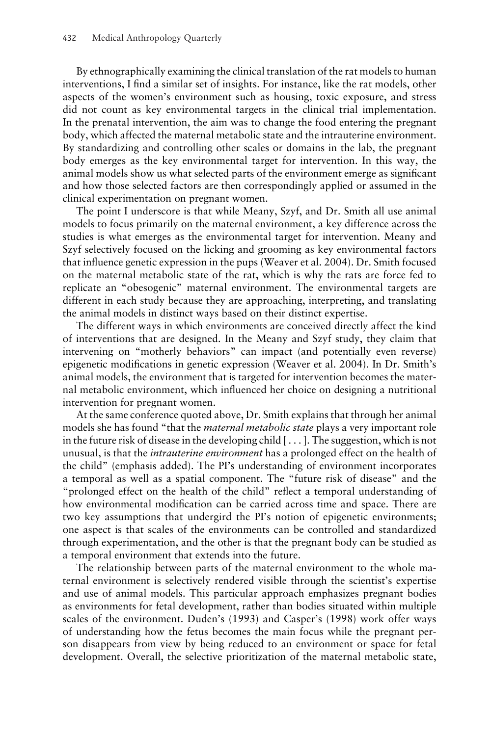By ethnographically examining the clinical translation of the rat models to human interventions, I find a similar set of insights. For instance, like the rat models, other aspects of the women's environment such as housing, toxic exposure, and stress did not count as key environmental targets in the clinical trial implementation. In the prenatal intervention, the aim was to change the food entering the pregnant body, which affected the maternal metabolic state and the intrauterine environment. By standardizing and controlling other scales or domains in the lab, the pregnant body emerges as the key environmental target for intervention. In this way, the animal models show us what selected parts of the environment emerge as significant and how those selected factors are then correspondingly applied or assumed in the clinical experimentation on pregnant women.

The point I underscore is that while Meany, Szyf, and Dr. Smith all use animal models to focus primarily on the maternal environment, a key difference across the studies is what emerges as the environmental target for intervention. Meany and Szyf selectively focused on the licking and grooming as key environmental factors that influence genetic expression in the pups (Weaver et al. 2004). Dr. Smith focused on the maternal metabolic state of the rat, which is why the rats are force fed to replicate an "obesogenic" maternal environment. The environmental targets are different in each study because they are approaching, interpreting, and translating the animal models in distinct ways based on their distinct expertise.

The different ways in which environments are conceived directly affect the kind of interventions that are designed. In the Meany and Szyf study, they claim that intervening on "motherly behaviors" can impact (and potentially even reverse) epigenetic modifications in genetic expression (Weaver et al. 2004). In Dr. Smith's animal models, the environment that is targeted for intervention becomes the maternal metabolic environment, which influenced her choice on designing a nutritional intervention for pregnant women.

At the same conference quoted above, Dr. Smith explains that through her animal models she has found "that the *maternal metabolic state* plays a very important role in the future risk of disease in the developing child  $[\ldots]$ . The suggestion, which is not unusual, is that the *intrauterine environment* has a prolonged effect on the health of the child" (emphasis added). The PI's understanding of environment incorporates a temporal as well as a spatial component. The "future risk of disease" and the "prolonged effect on the health of the child" reflect a temporal understanding of how environmental modification can be carried across time and space. There are two key assumptions that undergird the PI's notion of epigenetic environments; one aspect is that scales of the environments can be controlled and standardized through experimentation, and the other is that the pregnant body can be studied as a temporal environment that extends into the future.

The relationship between parts of the maternal environment to the whole maternal environment is selectively rendered visible through the scientist's expertise and use of animal models. This particular approach emphasizes pregnant bodies as environments for fetal development, rather than bodies situated within multiple scales of the environment. Duden's (1993) and Casper's (1998) work offer ways of understanding how the fetus becomes the main focus while the pregnant person disappears from view by being reduced to an environment or space for fetal development. Overall, the selective prioritization of the maternal metabolic state,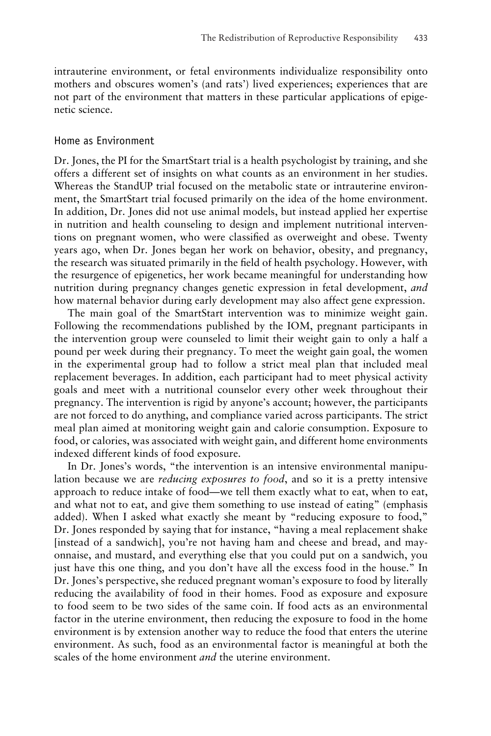intrauterine environment, or fetal environments individualize responsibility onto mothers and obscures women's (and rats') lived experiences; experiences that are not part of the environment that matters in these particular applications of epigenetic science.

#### Home as Environment

Dr. Jones, the PI for the SmartStart trial is a health psychologist by training, and she offers a different set of insights on what counts as an environment in her studies. Whereas the StandUP trial focused on the metabolic state or intrauterine environment, the SmartStart trial focused primarily on the idea of the home environment. In addition, Dr. Jones did not use animal models, but instead applied her expertise in nutrition and health counseling to design and implement nutritional interventions on pregnant women, who were classified as overweight and obese. Twenty years ago, when Dr. Jones began her work on behavior, obesity, and pregnancy, the research was situated primarily in the field of health psychology. However, with the resurgence of epigenetics, her work became meaningful for understanding how nutrition during pregnancy changes genetic expression in fetal development, *and* how maternal behavior during early development may also affect gene expression.

The main goal of the SmartStart intervention was to minimize weight gain. Following the recommendations published by the IOM, pregnant participants in the intervention group were counseled to limit their weight gain to only a half a pound per week during their pregnancy. To meet the weight gain goal, the women in the experimental group had to follow a strict meal plan that included meal replacement beverages. In addition, each participant had to meet physical activity goals and meet with a nutritional counselor every other week throughout their pregnancy. The intervention is rigid by anyone's account; however, the participants are not forced to do anything, and compliance varied across participants. The strict meal plan aimed at monitoring weight gain and calorie consumption. Exposure to food, or calories, was associated with weight gain, and different home environments indexed different kinds of food exposure.

In Dr. Jones's words, "the intervention is an intensive environmental manipulation because we are *reducing exposures to food*, and so it is a pretty intensive approach to reduce intake of food—we tell them exactly what to eat, when to eat, and what not to eat, and give them something to use instead of eating" (emphasis added). When I asked what exactly she meant by "reducing exposure to food," Dr. Jones responded by saying that for instance, "having a meal replacement shake [instead of a sandwich], you're not having ham and cheese and bread, and mayonnaise, and mustard, and everything else that you could put on a sandwich, you just have this one thing, and you don't have all the excess food in the house." In Dr. Jones's perspective, she reduced pregnant woman's exposure to food by literally reducing the availability of food in their homes. Food as exposure and exposure to food seem to be two sides of the same coin. If food acts as an environmental factor in the uterine environment, then reducing the exposure to food in the home environment is by extension another way to reduce the food that enters the uterine environment. As such, food as an environmental factor is meaningful at both the scales of the home environment *and* the uterine environment.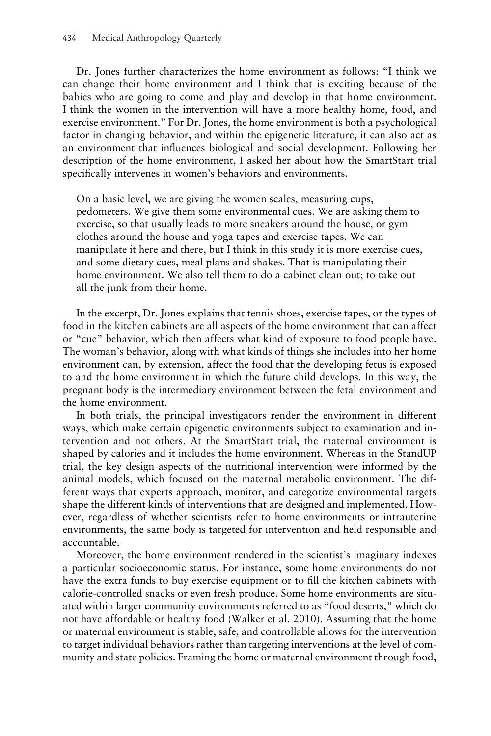Dr. Jones further characterizes the home environment as follows: "I think we can change their home environment and I think that is exciting because of the babies who are going to come and play and develop in that home environment. I think the women in the intervention will have a more healthy home, food, and exercise environment." For Dr. Jones, the home environment is both a psychological factor in changing behavior, and within the epigenetic literature, it can also act as an environment that influences biological and social development. Following her description of the home environment, I asked her about how the SmartStart trial specifically intervenes in women's behaviors and environments.

On a basic level, we are giving the women scales, measuring cups, pedometers. We give them some environmental cues. We are asking them to exercise, so that usually leads to more sneakers around the house, or gym clothes around the house and yoga tapes and exercise tapes. We can manipulate it here and there, but I think in this study it is more exercise cues, and some dietary cues, meal plans and shakes. That is manipulating their home environment. We also tell them to do a cabinet clean out; to take out all the junk from their home.

In the excerpt, Dr. Jones explains that tennis shoes, exercise tapes, or the types of food in the kitchen cabinets are all aspects of the home environment that can affect or "cue" behavior, which then affects what kind of exposure to food people have. The woman's behavior, along with what kinds of things she includes into her home environment can, by extension, affect the food that the developing fetus is exposed to and the home environment in which the future child develops. In this way, the pregnant body is the intermediary environment between the fetal environment and the home environment.

In both trials, the principal investigators render the environment in different ways, which make certain epigenetic environments subject to examination and intervention and not others. At the SmartStart trial, the maternal environment is shaped by calories and it includes the home environment. Whereas in the StandUP trial, the key design aspects of the nutritional intervention were informed by the animal models, which focused on the maternal metabolic environment. The different ways that experts approach, monitor, and categorize environmental targets shape the different kinds of interventions that are designed and implemented. However, regardless of whether scientists refer to home environments or intrauterine environments, the same body is targeted for intervention and held responsible and accountable.

Moreover, the home environment rendered in the scientist's imaginary indexes a particular socioeconomic status. For instance, some home environments do not have the extra funds to buy exercise equipment or to fill the kitchen cabinets with calorie-controlled snacks or even fresh produce. Some home environments are situated within larger community environments referred to as "food deserts," which do not have affordable or healthy food (Walker et al. 2010). Assuming that the home or maternal environment is stable, safe, and controllable allows for the intervention to target individual behaviors rather than targeting interventions at the level of community and state policies. Framing the home or maternal environment through food,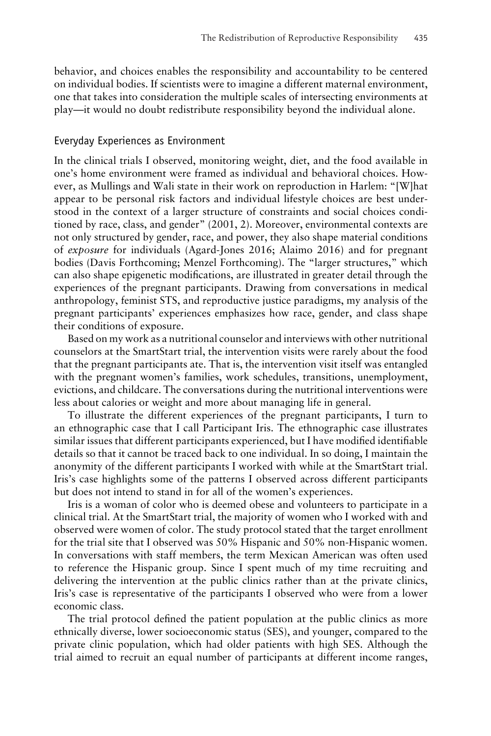behavior, and choices enables the responsibility and accountability to be centered on individual bodies. If scientists were to imagine a different maternal environment, one that takes into consideration the multiple scales of intersecting environments at play—it would no doubt redistribute responsibility beyond the individual alone.

#### Everyday Experiences as Environment

In the clinical trials I observed, monitoring weight, diet, and the food available in one's home environment were framed as individual and behavioral choices. However, as Mullings and Wali state in their work on reproduction in Harlem: "[W]hat appear to be personal risk factors and individual lifestyle choices are best understood in the context of a larger structure of constraints and social choices conditioned by race, class, and gender" (2001, 2). Moreover, environmental contexts are not only structured by gender, race, and power, they also shape material conditions of *exposure* for individuals (Agard-Jones 2016; Alaimo 2016) and for pregnant bodies (Davis Forthcoming; Menzel Forthcoming). The "larger structures," which can also shape epigenetic modifications, are illustrated in greater detail through the experiences of the pregnant participants. Drawing from conversations in medical anthropology, feminist STS, and reproductive justice paradigms, my analysis of the pregnant participants' experiences emphasizes how race, gender, and class shape their conditions of exposure.

Based on my work as a nutritional counselor and interviews with other nutritional counselors at the SmartStart trial, the intervention visits were rarely about the food that the pregnant participants ate. That is, the intervention visit itself was entangled with the pregnant women's families, work schedules, transitions, unemployment, evictions, and childcare. The conversations during the nutritional interventions were less about calories or weight and more about managing life in general.

To illustrate the different experiences of the pregnant participants, I turn to an ethnographic case that I call Participant Iris. The ethnographic case illustrates similar issues that different participants experienced, but I have modified identifiable details so that it cannot be traced back to one individual. In so doing, I maintain the anonymity of the different participants I worked with while at the SmartStart trial. Iris's case highlights some of the patterns I observed across different participants but does not intend to stand in for all of the women's experiences.

Iris is a woman of color who is deemed obese and volunteers to participate in a clinical trial. At the SmartStart trial, the majority of women who I worked with and observed were women of color. The study protocol stated that the target enrollment for the trial site that I observed was 50% Hispanic and 50% non-Hispanic women. In conversations with staff members, the term Mexican American was often used to reference the Hispanic group. Since I spent much of my time recruiting and delivering the intervention at the public clinics rather than at the private clinics, Iris's case is representative of the participants I observed who were from a lower economic class.

The trial protocol defined the patient population at the public clinics as more ethnically diverse, lower socioeconomic status (SES), and younger, compared to the private clinic population, which had older patients with high SES. Although the trial aimed to recruit an equal number of participants at different income ranges,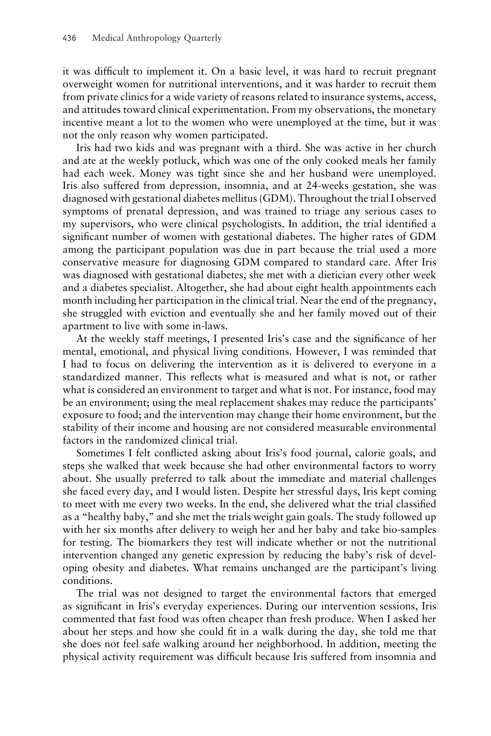it was difficult to implement it. On a basic level, it was hard to recruit pregnant overweight women for nutritional interventions, and it was harder to recruit them from private clinics for a wide variety of reasons related to insurance systems, access, and attitudes toward clinical experimentation. From my observations, the monetary incentive meant a lot to the women who were unemployed at the time, but it was not the only reason why women participated.

Iris had two kids and was pregnant with a third. She was active in her church and ate at the weekly potluck, which was one of the only cooked meals her family had each week. Money was tight since she and her husband were unemployed. Iris also suffered from depression, insomnia, and at 24-weeks gestation, she was diagnosed with gestational diabetes mellitus (GDM). Throughout the trial I observed symptoms of prenatal depression, and was trained to triage any serious cases to my supervisors, who were clinical psychologists. In addition, the trial identified a significant number of women with gestational diabetes. The higher rates of GDM among the participant population was due in part because the trial used a more conservative measure for diagnosing GDM compared to standard care. After Iris was diagnosed with gestational diabetes, she met with a dietician every other week and a diabetes specialist. Altogether, she had about eight health appointments each month including her participation in the clinical trial. Near the end of the pregnancy, she struggled with eviction and eventually she and her family moved out of their apartment to live with some in-laws.

At the weekly staff meetings, I presented Iris's case and the significance of her mental, emotional, and physical living conditions. However, I was reminded that I had to focus on delivering the intervention as it is delivered to everyone in a standardized manner. This reflects what is measured and what is not, or rather what is considered an environment to target and what is not. For instance, food may be an environment; using the meal replacement shakes may reduce the participants' exposure to food; and the intervention may change their home environment, but the stability of their income and housing are not considered measurable environmental factors in the randomized clinical trial.

Sometimes I felt conflicted asking about Iris's food journal, calorie goals, and steps she walked that week because she had other environmental factors to worry about. She usually preferred to talk about the immediate and material challenges she faced every day, and I would listen. Despite her stressful days, Iris kept coming to meet with me every two weeks. In the end, she delivered what the trial classified as a "healthy baby," and she met the trials weight gain goals. The study followed up with her six months after delivery to weigh her and her baby and take bio-samples for testing. The biomarkers they test will indicate whether or not the nutritional intervention changed any genetic expression by reducing the baby's risk of developing obesity and diabetes. What remains unchanged are the participant's living conditions.

The trial was not designed to target the environmental factors that emerged as significant in Iris's everyday experiences. During our intervention sessions, Iris commented that fast food was often cheaper than fresh produce. When I asked her about her steps and how she could fit in a walk during the day, she told me that she does not feel safe walking around her neighborhood. In addition, meeting the physical activity requirement was difficult because Iris suffered from insomnia and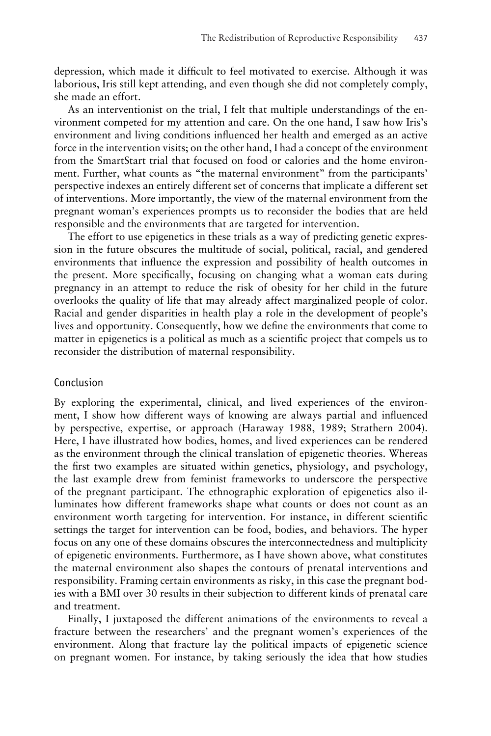depression, which made it difficult to feel motivated to exercise. Although it was laborious, Iris still kept attending, and even though she did not completely comply, she made an effort.

As an interventionist on the trial, I felt that multiple understandings of the environment competed for my attention and care. On the one hand, I saw how Iris's environment and living conditions influenced her health and emerged as an active force in the intervention visits; on the other hand, I had a concept of the environment from the SmartStart trial that focused on food or calories and the home environment. Further, what counts as "the maternal environment" from the participants' perspective indexes an entirely different set of concerns that implicate a different set of interventions. More importantly, the view of the maternal environment from the pregnant woman's experiences prompts us to reconsider the bodies that are held responsible and the environments that are targeted for intervention.

The effort to use epigenetics in these trials as a way of predicting genetic expression in the future obscures the multitude of social, political, racial, and gendered environments that influence the expression and possibility of health outcomes in the present. More specifically, focusing on changing what a woman eats during pregnancy in an attempt to reduce the risk of obesity for her child in the future overlooks the quality of life that may already affect marginalized people of color. Racial and gender disparities in health play a role in the development of people's lives and opportunity. Consequently, how we define the environments that come to matter in epigenetics is a political as much as a scientific project that compels us to reconsider the distribution of maternal responsibility.

# Conclusion

By exploring the experimental, clinical, and lived experiences of the environment, I show how different ways of knowing are always partial and influenced by perspective, expertise, or approach (Haraway 1988, 1989; Strathern 2004). Here, I have illustrated how bodies, homes, and lived experiences can be rendered as the environment through the clinical translation of epigenetic theories. Whereas the first two examples are situated within genetics, physiology, and psychology, the last example drew from feminist frameworks to underscore the perspective of the pregnant participant. The ethnographic exploration of epigenetics also illuminates how different frameworks shape what counts or does not count as an environment worth targeting for intervention. For instance, in different scientific settings the target for intervention can be food, bodies, and behaviors. The hyper focus on any one of these domains obscures the interconnectedness and multiplicity of epigenetic environments. Furthermore, as I have shown above, what constitutes the maternal environment also shapes the contours of prenatal interventions and responsibility. Framing certain environments as risky, in this case the pregnant bodies with a BMI over 30 results in their subjection to different kinds of prenatal care and treatment.

Finally, I juxtaposed the different animations of the environments to reveal a fracture between the researchers' and the pregnant women's experiences of the environment. Along that fracture lay the political impacts of epigenetic science on pregnant women. For instance, by taking seriously the idea that how studies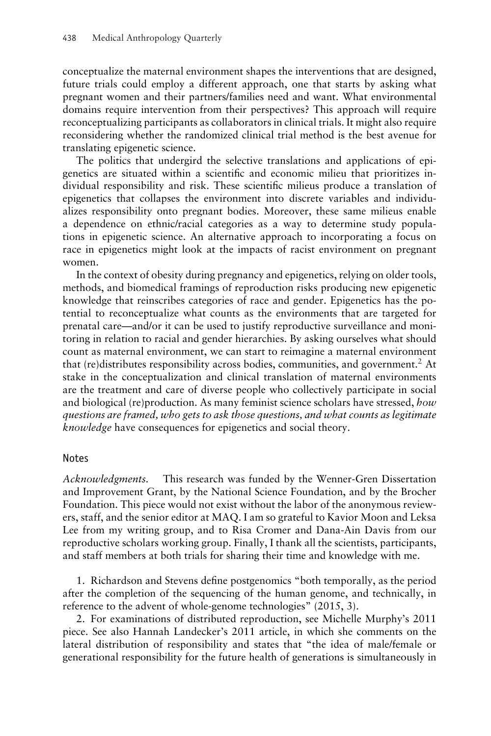conceptualize the maternal environment shapes the interventions that are designed, future trials could employ a different approach, one that starts by asking what pregnant women and their partners/families need and want. What environmental domains require intervention from their perspectives? This approach will require reconceptualizing participants as collaborators in clinical trials. It might also require reconsidering whether the randomized clinical trial method is the best avenue for translating epigenetic science.

The politics that undergird the selective translations and applications of epigenetics are situated within a scientific and economic milieu that prioritizes individual responsibility and risk. These scientific milieus produce a translation of epigenetics that collapses the environment into discrete variables and individualizes responsibility onto pregnant bodies. Moreover, these same milieus enable a dependence on ethnic/racial categories as a way to determine study populations in epigenetic science. An alternative approach to incorporating a focus on race in epigenetics might look at the impacts of racist environment on pregnant women.

In the context of obesity during pregnancy and epigenetics, relying on older tools, methods, and biomedical framings of reproduction risks producing new epigenetic knowledge that reinscribes categories of race and gender. Epigenetics has the potential to reconceptualize what counts as the environments that are targeted for prenatal care—and/or it can be used to justify reproductive surveillance and monitoring in relation to racial and gender hierarchies. By asking ourselves what should count as maternal environment, we can start to reimagine a maternal environment that (re)distributes responsibility across bodies, communities, and government.<sup>2</sup> At stake in the conceptualization and clinical translation of maternal environments are the treatment and care of diverse people who collectively participate in social and biological (re)production. As many feminist science scholars have stressed, *how questions are framed, who gets to ask those questions, and what counts as legitimate knowledge* have consequences for epigenetics and social theory.

#### Notes

*Acknowledgments.* This research was funded by the Wenner-Gren Dissertation and Improvement Grant, by the National Science Foundation, and by the Brocher Foundation. This piece would not exist without the labor of the anonymous reviewers, staff, and the senior editor at MAQ. I am so grateful to Kavior Moon and Leksa Lee from my writing group, and to Risa Cromer and Dana-Ain Davis from our reproductive scholars working group. Finally, I thank all the scientists, participants, and staff members at both trials for sharing their time and knowledge with me.

1. Richardson and Stevens define postgenomics "both temporally, as the period after the completion of the sequencing of the human genome, and technically, in reference to the advent of whole-genome technologies" (2015, 3).

2. For examinations of distributed reproduction, see Michelle Murphy's 2011 piece. See also Hannah Landecker's 2011 article, in which she comments on the lateral distribution of responsibility and states that "the idea of male/female or generational responsibility for the future health of generations is simultaneously in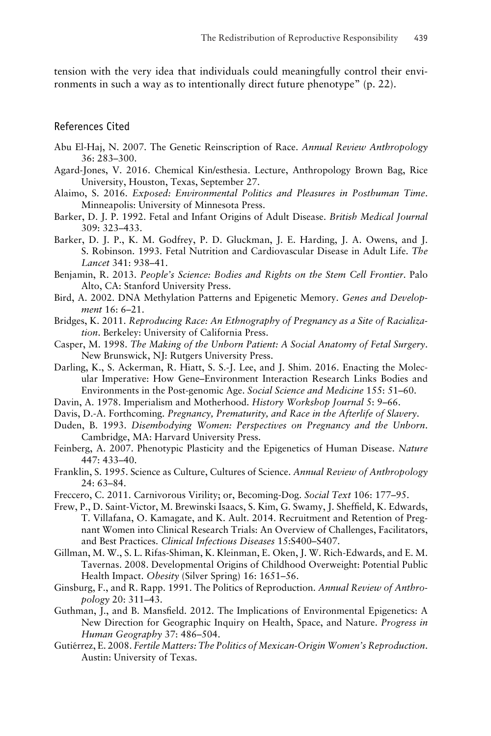tension with the very idea that individuals could meaningfully control their environments in such a way as to intentionally direct future phenotype" (p. 22).

#### References Cited

- Abu El-Haj, N. 2007. The Genetic Reinscription of Race. *Annual Review Anthropology* 36: 283–300.
- Agard-Jones, V. 2016. Chemical Kin/esthesia. Lecture, Anthropology Brown Bag, Rice University, Houston, Texas, September 27.
- Alaimo, S. 2016. *Exposed: Environmental Politics and Pleasures in Posthuman Time*. Minneapolis: University of Minnesota Press.
- Barker, D. J. P. 1992. Fetal and Infant Origins of Adult Disease. *British Medical Journal* 309: 323–433.
- Barker, D. J. P., K. M. Godfrey, P. D. Gluckman, J. E. Harding, J. A. Owens, and J. S. Robinson. 1993. Fetal Nutrition and Cardiovascular Disease in Adult Life. *The Lancet* 341: 938–41.
- Benjamin, R. 2013. *People's Science: Bodies and Rights on the Stem Cell Frontier*. Palo Alto, CA: Stanford University Press.
- Bird, A. 2002. DNA Methylation Patterns and Epigenetic Memory. *Genes and Development* 16: 6–21.
- Bridges, K. 2011. *Reproducing Race: An Ethnography of Pregnancy as a Site of Racialization*. Berkeley: University of California Press.
- Casper, M. 1998. *The Making of the Unborn Patient: A Social Anatomy of Fetal Surgery*. New Brunswick, NJ: Rutgers University Press.
- Darling, K., S. Ackerman, R. Hiatt, S. S.-J. Lee, and J. Shim. 2016. Enacting the Molecular Imperative: How Gene–Environment Interaction Research Links Bodies and Environments in the Post-genomic Age. *Social Science and Medicine* 155: 51–60.
- Davin, A. 1978. Imperialism and Motherhood. *History Workshop Journal* 5: 9–66.
- Davis, D.-A. Forthcoming. *Pregnancy, Prematurity, and Race in the Afterlife of Slavery*.
- Duden, B. 1993. *Disembodying Women: Perspectives on Pregnancy and the Unborn*. Cambridge, MA: Harvard University Press.
- Feinberg, A. 2007. Phenotypic Plasticity and the Epigenetics of Human Disease. *Nature* 447: 433–40.
- Franklin, S. 1995. Science as Culture, Cultures of Science. *Annual Review of Anthropology* 24: 63–84.
- Freccero, C. 2011. Carnivorous Virility; or, Becoming-Dog. *Social Text* 106: 177–95.
- Frew, P., D. Saint-Victor, M. Brewinski Isaacs, S. Kim, G. Swamy, J. Sheffield, K. Edwards, T. Villafana, O. Kamagate, and K. Ault. 2014. Recruitment and Retention of Pregnant Women into Clinical Research Trials: An Overview of Challenges, Facilitators, and Best Practices. *Clinical Infectious Diseases* 15:S400–S407.
- Gillman, M. W., S. L. Rifas-Shiman, K. Kleinman, E. Oken, J. W. Rich-Edwards, and E. M. Tavernas. 2008. Developmental Origins of Childhood Overweight: Potential Public Health Impact. *Obesity* (Silver Spring) 16: 1651–56.
- Ginsburg, F., and R. Rapp. 1991. The Politics of Reproduction. *Annual Review of Anthropology* 20: 311–43.
- Guthman, J., and B. Mansfield. 2012. The Implications of Environmental Epigenetics: A New Direction for Geographic Inquiry on Health, Space, and Nature. *Progress in Human Geography* 37: 486–504.
- Gutiérrez, E. 2008. Fertile Matters: The Politics of Mexican-Origin Women's Reproduction. Austin: University of Texas.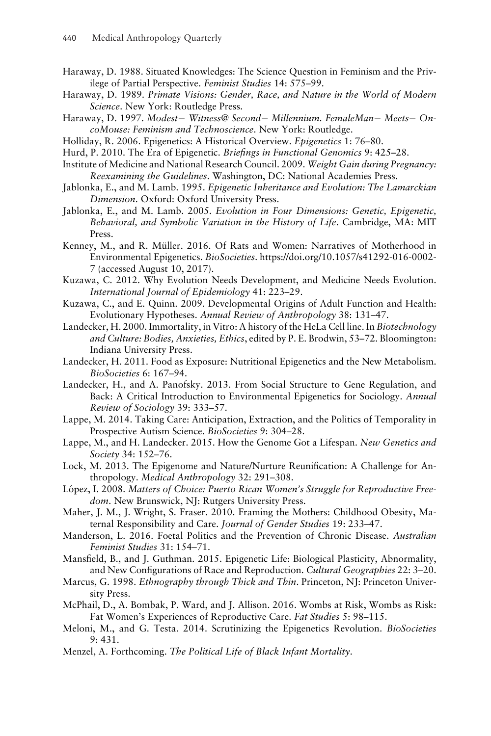- Haraway, D. 1988. Situated Knowledges: The Science Question in Feminism and the Privilege of Partial Perspective. *Feminist Studies* 14: 575–99.
- Haraway, D. 1989. *Primate Visions: Gender, Race, and Nature in the World of Modern Science*. New York: Routledge Press.
- Haraway, D. 1997. *Modest*− *Witness@ Second*− *Millennium. FemaleMan*− *Meets*− *OncoMouse: Feminism and Technoscience*. New York: Routledge.
- Holliday, R. 2006. Epigenetics: A Historical Overview. *Epigenetics* 1: 76–80.
- Hurd, P. 2010. The Era of Epigenetic. *Briefings in Functional Genomics* 9: 425–28.
- Institute of Medicine and National Research Council. 2009. *Weight Gain during Pregnancy: Reexamining the Guidelines*. Washington, DC: National Academies Press.
- Jablonka, E., and M. Lamb. 1995. *Epigenetic Inheritance and Evolution: The Lamarckian Dimension*. Oxford: Oxford University Press.
- Jablonka, E., and M. Lamb. 2005. *Evolution in Four Dimensions: Genetic, Epigenetic, Behavioral, and Symbolic Variation in the History of Life*. Cambridge, MA: MIT Press.
- Kenney, M., and R. Müller. 2016. Of Rats and Women: Narratives of Motherhood in Environmental Epigenetics. *BioSocieties*. https://doi.org/10.1057/s41292-016-0002- 7 (accessed August 10, 2017).
- Kuzawa, C. 2012. Why Evolution Needs Development, and Medicine Needs Evolution. *International Journal of Epidemiology* 41: 223–29.
- Kuzawa, C., and E. Quinn. 2009. Developmental Origins of Adult Function and Health: Evolutionary Hypotheses. *Annual Review of Anthropology* 38: 131–47.
- Landecker, H. 2000. Immortality, in Vitro: A history of the HeLa Cell line. In *Biotechnology and Culture: Bodies, Anxieties, Ethics*, edited by P. E. Brodwin, 53–72. Bloomington: Indiana University Press.
- Landecker, H. 2011. Food as Exposure: Nutritional Epigenetics and the New Metabolism. *BioSocieties* 6: 167–94.
- Landecker, H., and A. Panofsky. 2013. From Social Structure to Gene Regulation, and Back: A Critical Introduction to Environmental Epigenetics for Sociology. *Annual Review of Sociology* 39: 333–57.
- Lappe, M. 2014. Taking Care: Anticipation, Extraction, and the Politics of Temporality in Prospective Autism Science. *BioSocieties* 9: 304–28.
- Lappe, M., and H. Landecker. 2015. How the Genome Got a Lifespan. *New Genetics and Society* 34: 152–76.
- Lock, M. 2013. The Epigenome and Nature/Nurture Reunification: A Challenge for Anthropology. *Medical Anthropology* 32: 291–308.
- López, I. 2008. Matters of Choice: Puerto Rican Women's Struggle for Reproductive Free*dom*. New Brunswick, NJ: Rutgers University Press.
- Maher, J. M., J. Wright, S. Fraser. 2010. Framing the Mothers: Childhood Obesity, Maternal Responsibility and Care. *Journal of Gender Studies* 19: 233–47.
- Manderson, L. 2016. Foetal Politics and the Prevention of Chronic Disease. *Australian Feminist Studies* 31: 154–71.
- Mansfield, B., and J. Guthman. 2015. Epigenetic Life: Biological Plasticity, Abnormality, and New Configurations of Race and Reproduction. *Cultural Geographies* 22: 3–20.
- Marcus, G. 1998. *Ethnography through Thick and Thin*. Princeton, NJ: Princeton University Press.
- McPhail, D., A. Bombak, P. Ward, and J. Allison. 2016. Wombs at Risk, Wombs as Risk: Fat Women's Experiences of Reproductive Care. *Fat Studies* 5: 98–115.
- Meloni, M., and G. Testa. 2014. Scrutinizing the Epigenetics Revolution. *BioSocieties* 9: 431.
- Menzel, A. Forthcoming. *The Political Life of Black Infant Mortality*.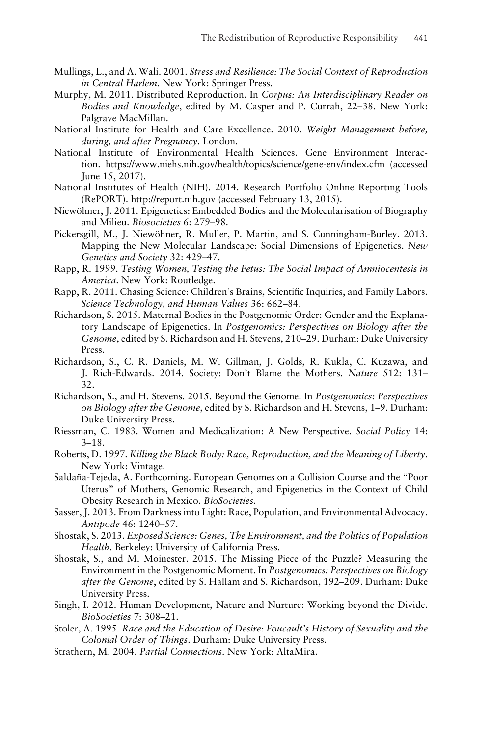- Mullings, L., and A. Wali. 2001. *Stress and Resilience: The Social Context of Reproduction in Central Harlem*. New York: Springer Press.
- Murphy, M. 2011. Distributed Reproduction. In *Corpus: An Interdisciplinary Reader on Bodies and Knowledge*, edited by M. Casper and P. Currah, 22–38. New York: Palgrave MacMillan.
- National Institute for Health and Care Excellence. 2010. *Weight Management before, during, and after Pregnancy*. London.
- National Institute of Environmental Health Sciences. Gene Environment Interaction. https://www.niehs.nih.gov/health/topics/science/gene-env/index.cfm (accessed June 15, 2017).
- National Institutes of Health (NIH). 2014. Research Portfolio Online Reporting Tools (RePORT). http://report.nih.gov (accessed February 13, 2015).
- Niewöhner, J. 2011. Epigenetics: Embedded Bodies and the Molecularisation of Biography and Milieu. *Biosocieties* 6: 279–98.
- Pickersgill, M., J. Niewohner, R. Muller, P. Martin, and S. Cunningham-Burley. 2013. ¨ Mapping the New Molecular Landscape: Social Dimensions of Epigenetics. *New Genetics and Society* 32: 429–47.
- Rapp, R. 1999. *Testing Women, Testing the Fetus: The Social Impact of Amniocentesis in America*. New York: Routledge.
- Rapp, R. 2011. Chasing Science: Children's Brains, Scientific Inquiries, and Family Labors. *Science Technology, and Human Values* 36: 662–84.
- Richardson, S. 2015. Maternal Bodies in the Postgenomic Order: Gender and the Explanatory Landscape of Epigenetics. In *Postgenomics: Perspectives on Biology after the Genome*, edited by S. Richardson and H. Stevens, 210–29. Durham: Duke University Press.
- Richardson, S., C. R. Daniels, M. W. Gillman, J. Golds, R. Kukla, C. Kuzawa, and J. Rich-Edwards. 2014. Society: Don't Blame the Mothers. *Nature* 512: 131– 32.
- Richardson, S., and H. Stevens. 2015. Beyond the Genome. In *Postgenomics: Perspectives on Biology after the Genome*, edited by S. Richardson and H. Stevens, 1–9. Durham: Duke University Press.
- Riessman, C. 1983. Women and Medicalization: A New Perspective. *Social Policy* 14: 3–18.
- Roberts, D. 1997. *Killing the Black Body: Race, Reproduction, and the Meaning of Liberty*. New York: Vintage.
- Saldaña-Tejeda, A. Forthcoming. European Genomes on a Collision Course and the "Poor Uterus" of Mothers, Genomic Research, and Epigenetics in the Context of Child Obesity Research in Mexico. *BioSocieties*.
- Sasser, J. 2013. From Darkness into Light: Race, Population, and Environmental Advocacy. *Antipode* 46: 1240–57.
- Shostak, S. 2013. *Exposed Science: Genes, The Environment, and the Politics of Population Health*. Berkeley: University of California Press.
- Shostak, S., and M. Moinester. 2015. The Missing Piece of the Puzzle? Measuring the Environment in the Postgenomic Moment. In *Postgenomics: Perspectives on Biology after the Genome*, edited by S. Hallam and S. Richardson, 192–209. Durham: Duke University Press.
- Singh, I. 2012. Human Development, Nature and Nurture: Working beyond the Divide. *BioSocieties* 7: 308–21.
- Stoler, A. 1995. *Race and the Education of Desire: Foucault's History of Sexuality and the Colonial Order of Things*. Durham: Duke University Press.
- Strathern, M. 2004. *Partial Connections*. New York: AltaMira.